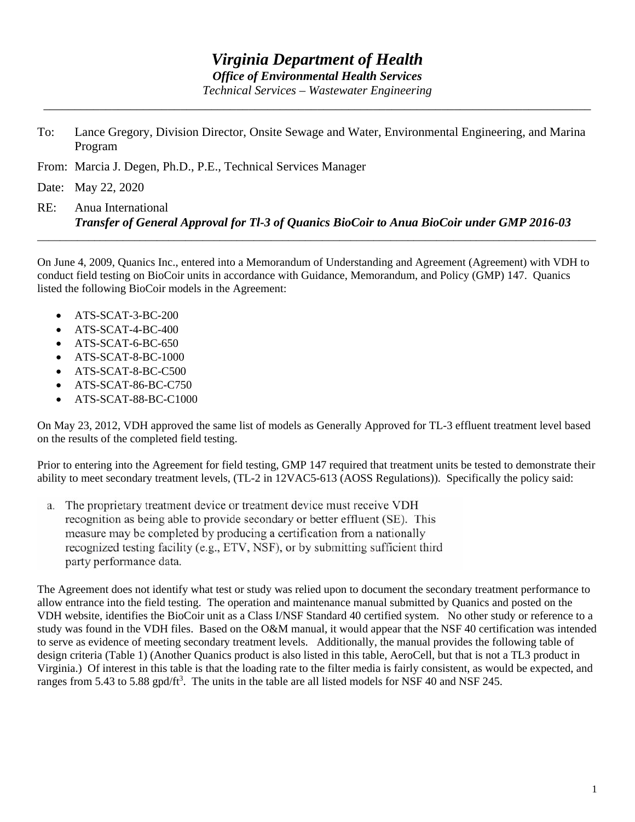\_\_\_\_\_\_\_\_\_\_\_\_\_\_\_\_\_\_\_\_\_\_\_\_\_\_\_\_\_\_\_\_\_\_\_\_\_\_\_\_\_\_\_\_\_\_\_\_\_\_\_\_\_\_\_\_\_\_\_\_\_\_\_\_\_\_\_\_\_\_\_\_\_\_\_\_\_\_\_\_\_\_\_\_\_\_\_\_

- To: Lance Gregory, Division Director, Onsite Sewage and Water, Environmental Engineering, and Marina Program
- From: Marcia J. Degen, Ph.D., P.E., Technical Services Manager

Date: May 22, 2020

RE: Anua International *Transfer of General Approval for Tl-3 of Quanics BioCoir to Anua BioCoir under GMP 2016-03* \_\_\_\_\_\_\_\_\_\_\_\_\_\_\_\_\_\_\_\_\_\_\_\_\_\_\_\_\_\_\_\_\_\_\_\_\_\_\_\_\_\_\_\_\_\_\_\_\_\_\_\_\_\_\_\_\_\_\_\_\_\_\_\_\_\_\_\_\_\_\_\_\_\_\_\_\_\_\_\_\_\_\_\_\_\_\_\_\_\_\_\_\_\_\_\_\_\_

On June 4, 2009, Quanics Inc., entered into a Memorandum of Understanding and Agreement (Agreement) with VDH to conduct field testing on BioCoir units in accordance with Guidance, Memorandum, and Policy (GMP) 147. Quanics listed the following BioCoir models in the Agreement:

- ATS-SCAT-3-BC-200
- ATS-SCAT-4-BC-400
- ATS-SCAT-6-BC-650
- ATS-SCAT-8-BC-1000
- ATS-SCAT-8-BC-C500
- ATS-SCAT-86-BC-C750
- ATS-SCAT-88-BC-C1000

On May 23, 2012, VDH approved the same list of models as Generally Approved for TL-3 effluent treatment level based on the results of the completed field testing.

Prior to entering into the Agreement for field testing, GMP 147 required that treatment units be tested to demonstrate their ability to meet secondary treatment levels, (TL-2 in 12VAC5-613 (AOSS Regulations)). Specifically the policy said:

The proprietary treatment device or treatment device must receive VDH  $a_{\cdot}$ recognition as being able to provide secondary or better effluent (SE). This measure may be completed by producing a certification from a nationally recognized testing facility (e.g., ETV, NSF), or by submitting sufficient third party performance data.

The Agreement does not identify what test or study was relied upon to document the secondary treatment performance to allow entrance into the field testing. The operation and maintenance manual submitted by Quanics and posted on the VDH website, identifies the BioCoir unit as a Class I/NSF Standard 40 certified system. No other study or reference to a study was found in the VDH files. Based on the O&M manual, it would appear that the NSF 40 certification was intended to serve as evidence of meeting secondary treatment levels. Additionally, the manual provides the following table of design criteria (Table 1) (Another Quanics product is also listed in this table, AeroCell, but that is not a TL3 product in Virginia.) Of interest in this table is that the loading rate to the filter media is fairly consistent, as would be expected, and ranges from 5.43 to 5.88 gpd/ft<sup>3</sup>. The units in the table are all listed models for NSF 40 and NSF 245.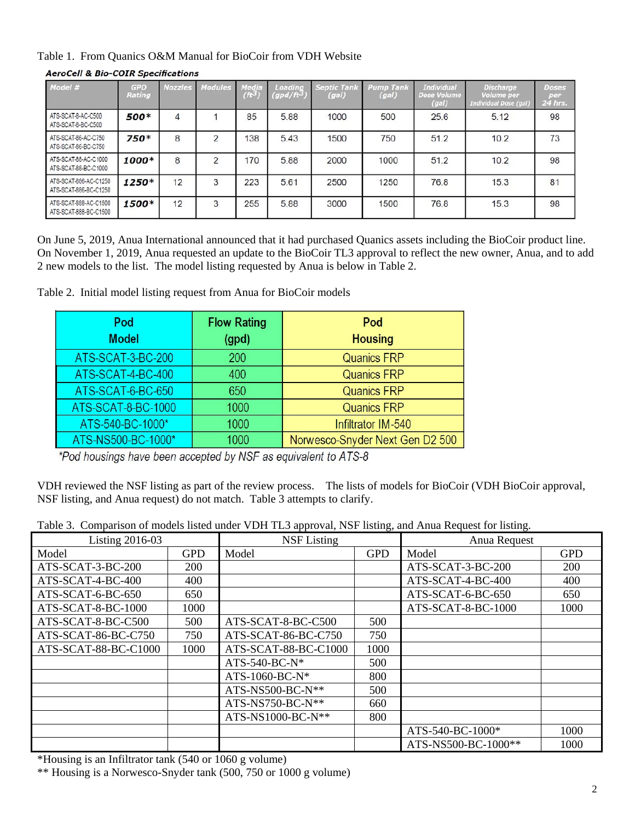### Table 1. From Quanics O&M Manual for BioCoir from VDH Website

| Model #                                        | <b>GPD</b><br>Rating | <b>Nozzles</b> | <b>Modules</b> | Media<br>$(f^{-1})$ | Loading<br>(gpd/ft <sup>3</sup> ) | Septic Tank<br>(gal) | <b>Pump Tank</b><br>(gal) | <b>Individual</b><br><b>Dose Volume</b><br>(gal) | <b>Discharge</b><br><b>Volume per</b><br><b>Individual Dose (gal)</b> | <b>Doses</b><br>per<br>24 hrs. |
|------------------------------------------------|----------------------|----------------|----------------|---------------------|-----------------------------------|----------------------|---------------------------|--------------------------------------------------|-----------------------------------------------------------------------|--------------------------------|
| ATS-SCAT-8-AC-C500<br>ATS-SCAT-8-BC-C500       | 500*                 | 4              |                | 85                  | 5.88                              | 1000                 | 500                       | 25.6                                             | 5.12                                                                  | 98                             |
| ATS-SCAT-86-AC-C750<br>ATS-SCAT-86-BC-C750     | 750*                 | 8              | $\mathfrak{p}$ | 138                 | 5.43                              | 1500                 | 750                       | 51.2                                             | 10.2                                                                  | 73                             |
| ATS-SCAT-88-AC-C1000<br>ATS-SCAT-88-BC-C1000   | 1000*                | 8              | 2              | 170                 | 5.88                              | 2000                 | 1000                      | 51.2                                             | 10.2                                                                  | 98                             |
| ATS-SCAT-886-AC-C1250<br>ATS-SCAT-886-BC-C1250 | $1250*$              | 12             | 3              | 223                 | 5.61                              | 2500                 | 1250                      | 76.8                                             | 15.3                                                                  | 81                             |
| ATS-SCAT-888-AC-C1500<br>ATS-SCAT-888-BC-C1500 | 1500*                | 12             | 3              | 255                 | 5.88                              | 3000                 | 1500                      | 76.8                                             | 15.3                                                                  | 98                             |

#### **AeroCell & Bio-COIR Specifications**

On June 5, 2019, Anua International announced that it had purchased Quanics assets including the BioCoir product line. On November 1, 2019, Anua requested an update to the BioCoir TL3 approval to reflect the new owner, Anua, and to add 2 new models to the list. The model listing requested by Anua is below in Table 2.

| Table 2. Initial model listing request from Anua for BioCoir models |  |  |  |  |  |
|---------------------------------------------------------------------|--|--|--|--|--|
|                                                                     |  |  |  |  |  |
|                                                                     |  |  |  |  |  |
|                                                                     |  |  |  |  |  |

| Pod<br><b>Model</b> | <b>Flow Rating</b><br>(gpd) | Pod<br><b>Housing</b>           |
|---------------------|-----------------------------|---------------------------------|
| ATS-SCAT-3-BC-200   | 200                         | <b>Quanics FRP</b>              |
| ATS-SCAT-4-BC-400   | 400                         | <b>Quanics FRP</b>              |
| ATS-SCAT-6-BC-650   | 650                         | <b>Quanics FRP</b>              |
| ATS-SCAT-8-BC-1000  | 1000                        | <b>Quanics FRP</b>              |
| ATS-540-BC-1000*    | 1000                        | Infiltrator IM-540              |
| ATS-NS500-BC-1000*  | 1000                        | Norwesco-Snyder Next Gen D2 500 |

\*Pod housings have been accepted by NSF as equivalent to ATS-8

VDH reviewed the NSF listing as part of the review process. The lists of models for BioCoir (VDH BioCoir approval, NSF listing, and Anua request) do not match. Table 3 attempts to clarify.

| Table 3. Comparison of models listed under VDH TL3 approval, NSF listing, and Anua Request for listing. |  |  |  |  |
|---------------------------------------------------------------------------------------------------------|--|--|--|--|
|---------------------------------------------------------------------------------------------------------|--|--|--|--|

| <b>Listing 2016-03</b> |            | <b>NSF Listing</b>   |            | Anua Request        |            |  |
|------------------------|------------|----------------------|------------|---------------------|------------|--|
| Model                  | <b>GPD</b> | Model                | <b>GPD</b> | Model               | <b>GPD</b> |  |
| ATS-SCAT-3-BC-200      | 200        |                      |            | ATS-SCAT-3-BC-200   | 200        |  |
| ATS-SCAT-4-BC-400      | 400        |                      |            | ATS-SCAT-4-BC-400   | 400        |  |
| ATS-SCAT-6-BC-650      | 650        |                      |            | ATS-SCAT-6-BC-650   | 650        |  |
| ATS-SCAT-8-BC-1000     | 1000       |                      |            | ATS-SCAT-8-BC-1000  | 1000       |  |
| ATS-SCAT-8-BC-C500     | 500        | ATS-SCAT-8-BC-C500   | 500        |                     |            |  |
| ATS-SCAT-86-BC-C750    | 750        | ATS-SCAT-86-BC-C750  | 750        |                     |            |  |
| ATS-SCAT-88-BC-C1000   | 1000       | ATS-SCAT-88-BC-C1000 | 1000       |                     |            |  |
|                        |            | ATS-540-BC-N*        | 500        |                     |            |  |
|                        |            | ATS-1060-BC-N*       | 800        |                     |            |  |
|                        |            | ATS-NS500-BC-N**     | 500        |                     |            |  |
|                        |            | ATS-NS750-BC-N**     | 660        |                     |            |  |
|                        |            | ATS-NS1000-BC-N**    | 800        |                     |            |  |
|                        |            |                      |            | ATS-540-BC-1000*    | 1000       |  |
|                        |            |                      |            | ATS-NS500-BC-1000** | 1000       |  |

\*Housing is an Infiltrator tank (540 or 1060 g volume)

\*\* Housing is a Norwesco-Snyder tank (500, 750 or 1000 g volume)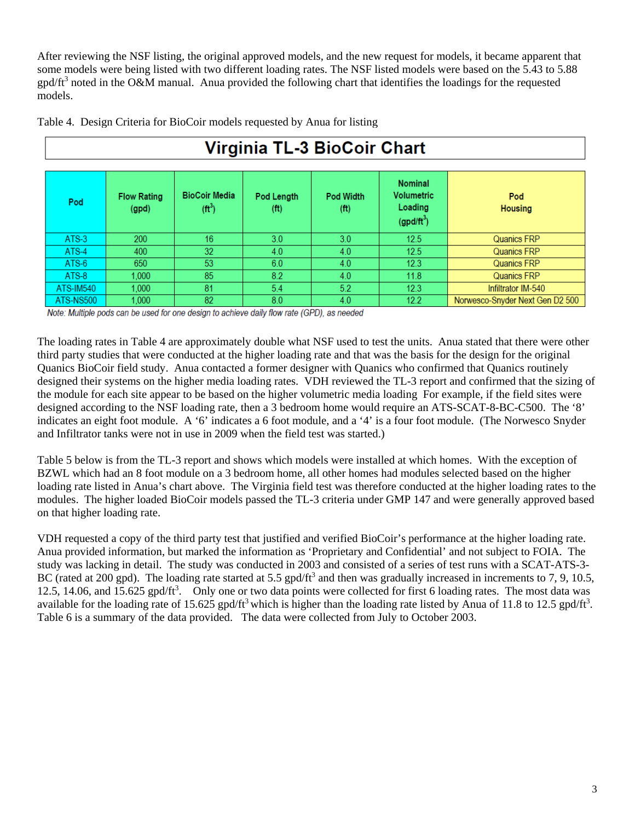After reviewing the NSF listing, the original approved models, and the new request for models, it became apparent that some models were being listed with two different loading rates. The NSF listed models were based on the 5.43 to 5.88  $gpd/ft^3$  noted in the O&M manual. Anua provided the following chart that identifies the loadings for the requested models.

|           | Virginia TL-3 BioCoir Chart |                                            |                                 |                                       |                                                                |                                 |  |  |
|-----------|-----------------------------|--------------------------------------------|---------------------------------|---------------------------------------|----------------------------------------------------------------|---------------------------------|--|--|
| Pod       | <b>Flow Rating</b><br>(gpd) | <b>BioCoir Media</b><br>(ft <sup>3</sup> ) | Pod Length<br>(f <sup>t</sup> ) | <b>Pod Width</b><br>(f <sup>t</sup> ) | <b>Nominal</b><br><b>Volumetric</b><br>Loading<br>$(gpd/ft^3)$ | Pod<br><b>Housing</b>           |  |  |
| ATS-3     | 200                         | 16                                         | 3.0 <sub>2</sub>                | 3.0                                   | 12.5                                                           | <b>Quanics FRP</b>              |  |  |
| ATS-4     | 400                         | 32 <sup>°</sup>                            | 4.0                             | 4.0                                   | 12.5                                                           | <b>Quanics FRP</b>              |  |  |
| ATS-6     | 650                         | 53                                         | 6.0                             | 4.0                                   | 12.3                                                           | <b>Quanics FRP</b>              |  |  |
| ATS-8     | 1.000                       | 85                                         | 8.2                             | 4.0                                   | 11.8                                                           | <b>Quanics FRP</b>              |  |  |
| ATS-IM540 | 1.000                       | 81                                         | 5.4                             | 5.2                                   | 12.3                                                           | Infiltrator IM-540              |  |  |
| ATS-NS500 | 1.000                       | 82                                         | 8.0                             | 4.0                                   | 12.2                                                           | Norwesco-Snyder Next Gen D2 500 |  |  |

#### Table 4. Design Criteria for BioCoir models requested by Anua for listing

Note: Multiple pods can be used for one design to achieve daily flow rate (GPD), as needed

The loading rates in Table 4 are approximately double what NSF used to test the units. Anua stated that there were other third party studies that were conducted at the higher loading rate and that was the basis for the design for the original Quanics BioCoir field study. Anua contacted a former designer with Quanics who confirmed that Quanics routinely designed their systems on the higher media loading rates. VDH reviewed the TL-3 report and confirmed that the sizing of the module for each site appear to be based on the higher volumetric media loading For example, if the field sites were designed according to the NSF loading rate, then a 3 bedroom home would require an ATS-SCAT-8-BC-C500. The '8' indicates an eight foot module. A '6' indicates a 6 foot module, and a '4' is a four foot module. (The Norwesco Snyder and Infiltrator tanks were not in use in 2009 when the field test was started.)

Table 5 below is from the TL-3 report and shows which models were installed at which homes. With the exception of BZWL which had an 8 foot module on a 3 bedroom home, all other homes had modules selected based on the higher loading rate listed in Anua's chart above. The Virginia field test was therefore conducted at the higher loading rates to the modules. The higher loaded BioCoir models passed the TL-3 criteria under GMP 147 and were generally approved based on that higher loading rate.

VDH requested a copy of the third party test that justified and verified BioCoir's performance at the higher loading rate. Anua provided information, but marked the information as 'Proprietary and Confidential' and not subject to FOIA. The study was lacking in detail. The study was conducted in 2003 and consisted of a series of test runs with a SCAT-ATS-3- BC (rated at 200 gpd). The loading rate started at 5.5 gpd/ $ft^3$  and then was gradually increased in increments to 7, 9, 10.5, 12.5, 14.06, and 15.625 gpd/ft<sup>3</sup>. Only one or two data points were collected for first 6 loading rates. The most data was available for the loading rate of 15.625 gpd/ft<sup>3</sup> which is higher than the loading rate listed by Anua of 11.8 to 12.5 gpd/ft<sup>3</sup>. Table 6 is a summary of the data provided. The data were collected from July to October 2003.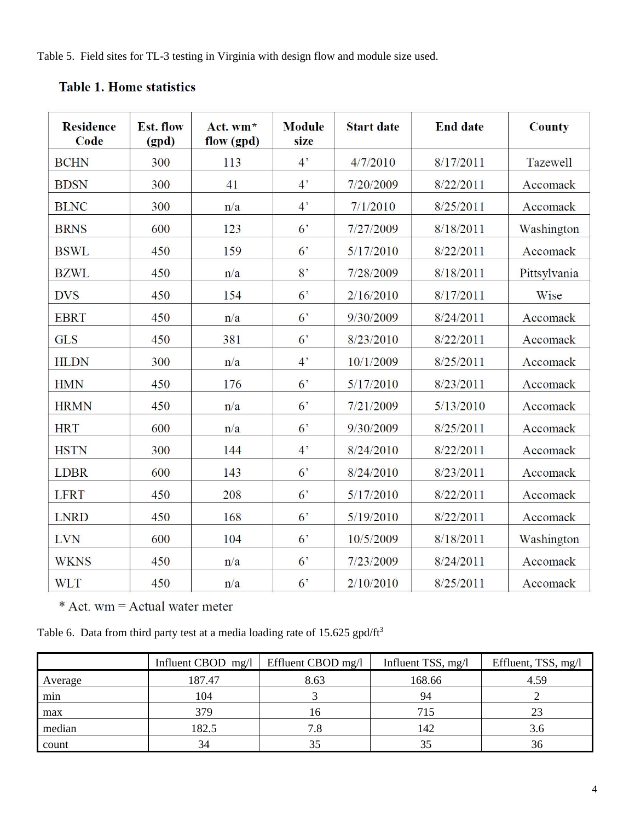Table 5. Field sites for TL-3 testing in Virginia with design flow and module size used.

| <b>Residence</b><br>Code | <b>Est. flow</b><br>(gpd) | Act. wm*<br>flow (gpd) | <b>Module</b><br>size | <b>Start date</b> | <b>End date</b> | <b>County</b>   |
|--------------------------|---------------------------|------------------------|-----------------------|-------------------|-----------------|-----------------|
| <b>BCHN</b>              | 300                       | 113                    | 4 <sup>o</sup>        | 4/7/2010          | 8/17/2011       | <b>Tazewell</b> |
| <b>BDSN</b>              | 300                       | 41                     | 4 <sup>2</sup>        | 7/20/2009         | 8/22/2011       | Accomack        |
| <b>BLNC</b>              | 300                       | n/a                    | 4 <sup>2</sup>        | 7/1/2010          | 8/25/2011       | Accomack        |
| <b>BRNS</b>              | 600                       | 123                    | 6 <sup>5</sup>        | 7/27/2009         | 8/18/2011       | Washington      |
| <b>BSWL</b>              | 450                       | 159                    | 6 <sup>o</sup>        | 5/17/2010         | 8/22/2011       | Accomack        |
| <b>BZWL</b>              | 450                       | n/a                    | 8 <sup>2</sup>        | 7/28/2009         | 8/18/2011       | Pittsylvania    |
| <b>DVS</b>               | 450                       | 154                    | 6 <sup>5</sup>        | 2/16/2010         | 8/17/2011       | Wise            |
| <b>EBRT</b>              | 450                       | n/a                    | 6 <sup>2</sup>        | 9/30/2009         | 8/24/2011       | Accomack        |
| <b>GLS</b>               | 450                       | 381                    | 6 <sup>o</sup>        | 8/23/2010         | 8/22/2011       | Accomack        |
| <b>HLDN</b>              | 300                       | n/a                    | 4 <sup>2</sup>        | 10/1/2009         | 8/25/2011       | Accomack        |
| <b>HMN</b>               | 450                       | 176                    | 6 <sup>2</sup>        | 5/17/2010         | 8/23/2011       | Accomack        |
| <b>HRMN</b>              | 450                       | n/a                    | 6 <sup>2</sup>        | 7/21/2009         | 5/13/2010       | Accomack        |
| <b>HRT</b>               | 600                       | n/a                    | 6 <sup>5</sup>        | 9/30/2009         | 8/25/2011       | Accomack        |
| <b>HSTN</b>              | 300                       | 144                    | 4 <sup>2</sup>        | 8/24/2010         | 8/22/2011       | Accomack        |
| <b>LDBR</b>              | 600                       | 143                    | 6 <sup>2</sup>        | 8/24/2010         | 8/23/2011       | Accomack        |
| <b>LFRT</b>              | 450                       | 208                    | 6 <sup>2</sup>        | 5/17/2010         | 8/22/2011       | Accomack        |
| <b>LNRD</b>              | 450                       | 168                    | 6 <sup>5</sup>        | 5/19/2010         | 8/22/2011       | Accomack        |
| LVN                      | 600                       | 104                    | 6 <sup>2</sup>        | 10/5/2009         | 8/18/2011       | Washington      |
| <b>WKNS</b>              | 450                       | n/a                    | 6 <sup>5</sup>        | 7/23/2009         | 8/24/2011       | Accomack        |
| <b>WLT</b>               | 450                       | n/a                    | 6 <sup>5</sup>        | 2/10/2010         | 8/25/2011       | Accomack        |

## **Table 1. Home statistics**

\* Act. wm = Actual water meter

Table 6. Data from third party test at a media loading rate of 15.625 gpd/ft<sup>3</sup>

|         | Influent CBOD $mg/l$ | Effluent CBOD mg/l | Influent TSS, mg/l | Effluent, TSS, mg/l |
|---------|----------------------|--------------------|--------------------|---------------------|
| Average | 187.47               | 8.63               | 168.66             | 4.59                |
| min     | 104                  |                    | 94                 |                     |
| max     | 379                  |                    | 715                |                     |
| median  | 182.5                |                    | 142                |                     |
| count   | 34                   |                    | 35                 | .3h                 |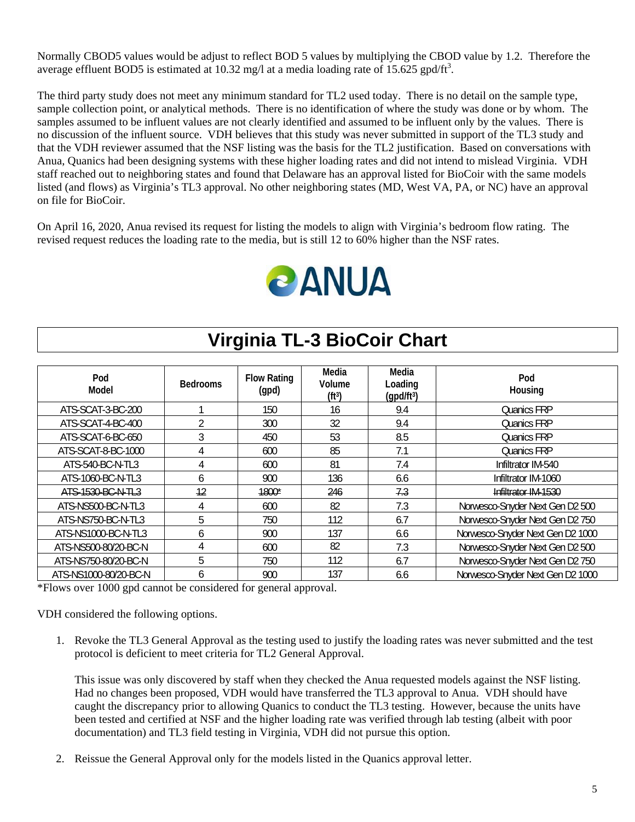Normally CBOD5 values would be adjust to reflect BOD 5 values by multiplying the CBOD value by 1.2. Therefore the average effluent BOD5 is estimated at 10.32 mg/l at a media loading rate of 15.625 gpd/ft<sup>3</sup>.

The third party study does not meet any minimum standard for TL2 used today. There is no detail on the sample type, sample collection point, or analytical methods. There is no identification of where the study was done or by whom. The samples assumed to be influent values are not clearly identified and assumed to be influent only by the values. There is no discussion of the influent source. VDH believes that this study was never submitted in support of the TL3 study and that the VDH reviewer assumed that the NSF listing was the basis for the TL2 justification. Based on conversations with Anua, Quanics had been designing systems with these higher loading rates and did not intend to mislead Virginia. VDH staff reached out to neighboring states and found that Delaware has an approval listed for BioCoir with the same models listed (and flows) as Virginia's TL3 approval. No other neighboring states (MD, West VA, PA, or NC) have an approval on file for BioCoir.

On April 16, 2020, Anua revised its request for listing the models to align with Virginia's bedroom flow rating. The revised request reduces the loading rate to the media, but is still 12 to 60% higher than the NSF rates.



# **Virginia TL-3 BioCoir Chart**

| Pod<br>Model          | <b>Bedrooms</b> | <b>Flow Rating</b><br>(gpd) | Media<br>Volume<br>$(ft^3)$ | Media<br>Loading<br>(gpd/ft <sup>3</sup> ) | Pod<br>Housing                   |
|-----------------------|-----------------|-----------------------------|-----------------------------|--------------------------------------------|----------------------------------|
| ATS-SCAT-3-BC-200     |                 | 150                         | 16                          | 9.4                                        | <b>Quanics FRP</b>               |
| ATS-SCAT-4-BC-400     |                 | 300                         | 32                          | 9.4                                        | <b>Quanics FRP</b>               |
| ATS-SCAT-6-BC-650     |                 | 450                         | 53                          | 8.5                                        | <b>Quanics FRP</b>               |
| ATS-SCAT-8-BC-1000    |                 | 600                         | 85                          | 7.1                                        | <b>Quanics FRP</b>               |
| ATS-540-BC-N-TL3      |                 | 600                         | 81                          | 7.4                                        | Infiltrator IM-540               |
| ATS-1060-BC-N-TL3     | <sub>0</sub>    | 900                         | 136                         | 6.6                                        | Infiltrator IM-1060              |
| ATS-1530-BC-N-TL3     | 12              | 1800*                       | 246                         | 7.3                                        | Infiltrator IM-1530              |
| ATS-NS500-BC-N-TL3    |                 | 600                         | 82                          | 7.3                                        | Norwesco-Snyder Next Gen D2 500  |
| ATS-NS750-BC-N-TL3    | 5               | 750                         | 112                         | 6.7                                        | Norwesco-Snyder Next Gen D2 750  |
| ATS-NS1000-BC-N-TL3   | b               | 900                         | 137                         | 6.6                                        | Norwesco-Snyder Next Gen D2 1000 |
| ATS-NS500-80/20-BC-N  |                 | 600                         | 82                          | 7.3                                        | Norwesco-Snyder Next Gen D2 500  |
| ATS-NS750-80/20-BC-N  | 5               | 750                         | 112                         | 6.7                                        | Norwesco-Snyder Next Gen D2 750  |
| ATS-NS1000-80/20-BC-N | b               | 900                         | 137                         | 6.6                                        | Norwesco-Snyder Next Gen D2 1000 |

\*Flows over 1000 gpd cannot be considered for general approval.

VDH considered the following options.

1. Revoke the TL3 General Approval as the testing used to justify the loading rates was never submitted and the test protocol is deficient to meet criteria for TL2 General Approval.

This issue was only discovered by staff when they checked the Anua requested models against the NSF listing. Had no changes been proposed, VDH would have transferred the TL3 approval to Anua. VDH should have caught the discrepancy prior to allowing Quanics to conduct the TL3 testing. However, because the units have been tested and certified at NSF and the higher loading rate was verified through lab testing (albeit with poor documentation) and TL3 field testing in Virginia, VDH did not pursue this option.

2. Reissue the General Approval only for the models listed in the Quanics approval letter.